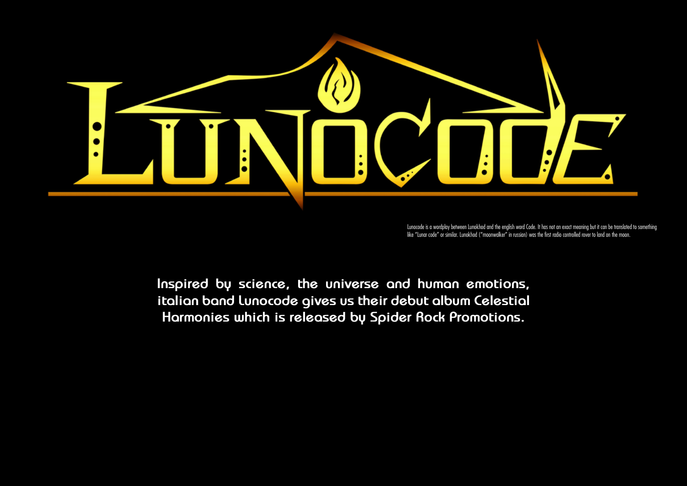

Lunocode is a wordplay between Lunokhod and the english word Code. It has not an exact meaning but it can be translated to something like "Lunar code" or similar. Lunokhod ("moonwalker" in russian) was the first radio controlled rover to land on the moon.

**Inspired by science, the universe and human emotions, italian band Lunocode gives us their debut album Celestial Harmonies which is released by Spider Rock Promotions.**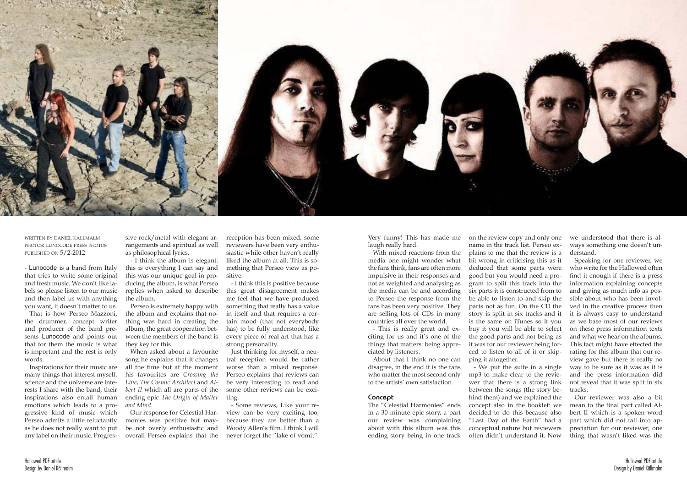

written by daniel källmalm photos: lunocode press photos published on 5/2-2012

- Lunocode is a band from Italy that tries to write some original and fresh music. We don't like labels so please listen to our music and then label us with anything you want, it doesn't matter to us.

That is how Perseo Mazzoni, the drummer, concept writer and producer of the band presents Lunocode and points out that for them the music is what is important and the rest is only words.

Inspirations for their music are many things that interest myself, science and the universe are interests I share with the band, their inspirations also entail human emotions which leads to a progressive kind of music which Perseo admits a little reluctantly as he does not really want to put any label on their music. Progres-

sive rock/metal with elegant arrangements and spiritual as well as philosophical lyrics.

- I think the album is elegant: this is everything I can say and this was our unique goal in producing the album, is what Perseo replies when asked to describe the album.

Perseo is extremely happy with the album and explains that nothing was hard in creating the album, the great cooperation between the members of the band is they key for this.

When asked about a favourite song he explains that it changes all the time but at the moment his favourites are *Crossing the Line*, *The Cosmic Architect* and *Albert II* which all are parts of the ending epic *The Origin of Matter and Mind*.

Our response for Celestial Harmonies was positive but maybe not overly enthusiastic and overall Perseo explains that the

reception has been mixed, some reviewers have been very enthusiastic while other haven't really liked the album at all. This is something that Perseo view as positive.

- I think this is positive because this great disagreement makes me feel that we have produced something that really has a value in itself and that requires a certain mood (that not everybody has) to be fully understood, like every piece of real art that has a strong personality.

Just thinking for myself, a neutral reception would be rather worse than a mixed response. Perseo explains that reviews can be very interesting to read and some other reviews can be exciting.

- Some reviews, Like your review can be very exciting too, because they are better than a Woody Allen's film. I think I will never forget the "lake of vomit".

Very funny! This has made me laugh really hard.

With mixed reactions from the media one might wonder what the fans think, fans are often more impulsive in their responses and not as weighted and analysing as the media can be and according to Perseo the response from the fans has been very positive. They are selling lots of CDs in many countries all over the world.

- This is really great and exciting for us and it's one of the things that matters: being appreciated by listeners.

About that I think no one can disagree, in the end it is the fans who matter the most second only to the artists' own satisfaction.

# **Concept**

The "Celestial Harmonies" ends in a 30 minute epic story, a part our review was complaining about with this album was this ending story being in one track

on the review copy and only one name in the track list. Perseo explains to me that the review is a bit wrong in criticising this as it deduced that some parts were good but you would need a program to split this track into the six parts it is constructed from to be able to listen to and skip the parts not as fun. On the CD the story is split in six tracks and it is the same on iTunes so if you buy it you will be able to select the good parts and not being as it was for our reviewer being forced to listen to all of it or skipping it altogether.

- We put the suite in a single mp3 to make clear to the reviewer that there is a strong link between the songs (the story behind them) and we explained the concept also in the booklet: we decided to do this because also "Last Day of the Earth" had a conceptual nature but reviewers often didn't understand it. Now

we understood that there is always something one doesn't understand.

Speaking for one reviewer, we who write for the Hallowed often find it enough if there is a press information explaining concepts and giving as much info as possible about who has been involved in the creative process then it is always easy to understand as we base most of our reviews on these press information texts and what we hear on the albums. This fact might have effected the rating for this album that our review gave but there is really no way to be sure as it was as it is and the press information did not reveal that it was split in six tracks.

Our reviewer was also a bit mean to the final part called Albert II which is a spoken word part which did not fall into appreciation for our reviewer, one thing that wasn't liked was the